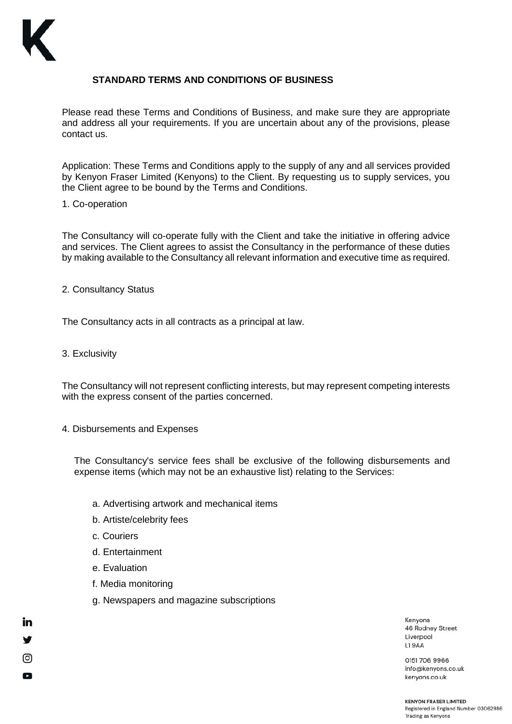

# **STANDARD TERMS AND CONDITIONS OF BUSINESS**

Please read these Terms and Conditions of Business, and make sure they are appropriate and address all your requirements. If you are uncertain about any of the provisions, please contact us.

Application: These Terms and Conditions apply to the supply of any and all services provided by Kenyon Fraser Limited (Kenyons) to the Client. By requesting us to supply services, you the Client agree to be bound by the Terms and Conditions.

#### 1. Co-operation

The Consultancy will co-operate fully with the Client and take the initiative in offering advice and services. The Client agrees to assist the Consultancy in the performance of these duties by making available to the Consultancy all relevant information and executive time as required.

2. Consultancy Status

The Consultancy acts in all contracts as a principal at law.

3. Exclusivity

The Consultancy will not represent conflicting interests, but may represent competing interests with the express consent of the parties concerned.

4. Disbursements and Expenses

The Consultancy's service fees shall be exclusive of the following disbursements and expense items (which may not be an exhaustive list) relating to the Services:

- a. Advertising artwork and mechanical items
- b. Artiste/celebrity fees
- c. Couriers
- d. Entertainment
- e. Evaluation

in

ල

Q

- f. Media monitoring
- g. Newspapers and magazine subscriptions

Kenvons 46 Rodney Street Liverpool **L19AA** 

0151 706 9966 info@kenyons.co.uk kenyons.co.uk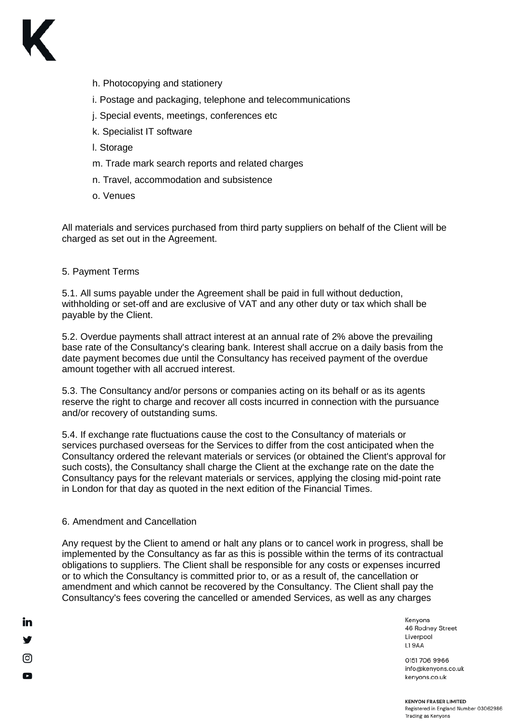

- h. Photocopying and stationery
- i. Postage and packaging, telephone and telecommunications
- j. Special events, meetings, conferences etc
- k. Specialist IT software
- l. Storage
- m. Trade mark search reports and related charges
- n. Travel, accommodation and subsistence
- o. Venues

All materials and services purchased from third party suppliers on behalf of the Client will be charged as set out in the Agreement.

## 5. Payment Terms

5.1. All sums payable under the Agreement shall be paid in full without deduction, withholding or set-off and are exclusive of VAT and any other duty or tax which shall be payable by the Client.

5.2. Overdue payments shall attract interest at an annual rate of 2% above the prevailing base rate of the Consultancy's clearing bank. Interest shall accrue on a daily basis from the date payment becomes due until the Consultancy has received payment of the overdue amount together with all accrued interest.

5.3. The Consultancy and/or persons or companies acting on its behalf or as its agents reserve the right to charge and recover all costs incurred in connection with the pursuance and/or recovery of outstanding sums.

5.4. If exchange rate fluctuations cause the cost to the Consultancy of materials or services purchased overseas for the Services to differ from the cost anticipated when the Consultancy ordered the relevant materials or services (or obtained the Client's approval for such costs), the Consultancy shall charge the Client at the exchange rate on the date the Consultancy pays for the relevant materials or services, applying the closing mid-point rate in London for that day as quoted in the next edition of the Financial Times.

## 6. Amendment and Cancellation

<u>in</u>

ල

Q

Any request by the Client to amend or halt any plans or to cancel work in progress, shall be implemented by the Consultancy as far as this is possible within the terms of its contractual obligations to suppliers. The Client shall be responsible for any costs or expenses incurred or to which the Consultancy is committed prior to, or as a result of, the cancellation or amendment and which cannot be recovered by the Consultancy. The Client shall pay the Consultancy's fees covering the cancelled or amended Services, as well as any charges

> Kenvons 46 Rodney Street Liverpool **L19AA**

0151 706 9966 info@kenyons.co.uk kenyons.co.uk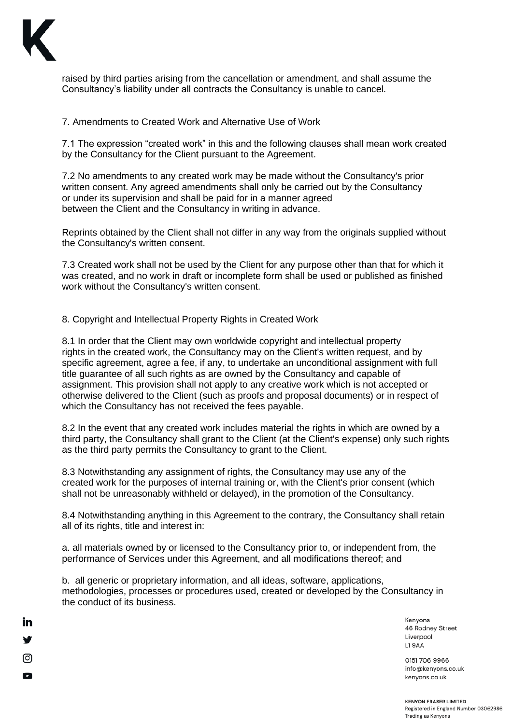

**in** 

ල

Q

raised by third parties arising from the cancellation or amendment, and shall assume the Consultancy's liability under all contracts the Consultancy is unable to cancel.

7. Amendments to Created Work and Alternative Use of Work

7.1 The expression "created work" in this and the following clauses shall mean work created by the Consultancy for the Client pursuant to the Agreement.

7.2 No amendments to any created work may be made without the Consultancy's prior written consent. Any agreed amendments shall only be carried out by the Consultancy or under its supervision and shall be paid for in a manner agreed between the Client and the Consultancy in writing in advance.

Reprints obtained by the Client shall not differ in any way from the originals supplied without the Consultancy's written consent.

7.3 Created work shall not be used by the Client for any purpose other than that for which it was created, and no work in draft or incomplete form shall be used or published as finished work without the Consultancy's written consent.

8. Copyright and Intellectual Property Rights in Created Work

8.1 In order that the Client may own worldwide copyright and intellectual property rights in the created work, the Consultancy may on the Client's written request, and by specific agreement, agree a fee, if any, to undertake an unconditional assignment with full title guarantee of all such rights as are owned by the Consultancy and capable of assignment. This provision shall not apply to any creative work which is not accepted or otherwise delivered to the Client (such as proofs and proposal documents) or in respect of which the Consultancy has not received the fees payable.

8.2 In the event that any created work includes material the rights in which are owned by a third party, the Consultancy shall grant to the Client (at the Client's expense) only such rights as the third party permits the Consultancy to grant to the Client.

8.3 Notwithstanding any assignment of rights, the Consultancy may use any of the created work for the purposes of internal training or, with the Client's prior consent (which shall not be unreasonably withheld or delayed), in the promotion of the Consultancy.

8.4 Notwithstanding anything in this Agreement to the contrary, the Consultancy shall retain all of its rights, title and interest in:

a. all materials owned by or licensed to the Consultancy prior to, or independent from, the performance of Services under this Agreement, and all modifications thereof; and

b. all generic or proprietary information, and all ideas, software, applications, methodologies, processes or procedures used, created or developed by the Consultancy in the conduct of its business.

> Kenvons 46 Rodney Street Liverpool **L19AA**

0151 706 9966 info@kenyons.co.uk kenyons.co.uk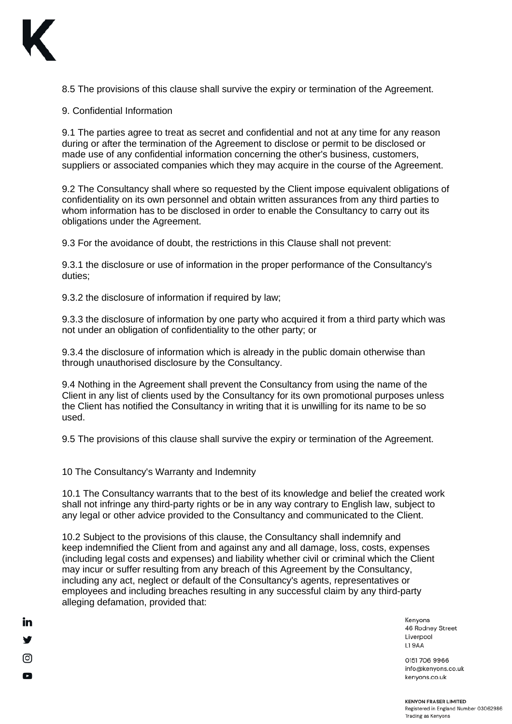

**in** 

ල

Q

8.5 The provisions of this clause shall survive the expiry or termination of the Agreement.

9. Confidential Information

9.1 The parties agree to treat as secret and confidential and not at any time for any reason during or after the termination of the Agreement to disclose or permit to be disclosed or made use of any confidential information concerning the other's business, customers, suppliers or associated companies which they may acquire in the course of the Agreement.

9.2 The Consultancy shall where so requested by the Client impose equivalent obligations of confidentiality on its own personnel and obtain written assurances from any third parties to whom information has to be disclosed in order to enable the Consultancy to carry out its obligations under the Agreement.

9.3 For the avoidance of doubt, the restrictions in this Clause shall not prevent:

9.3.1 the disclosure or use of information in the proper performance of the Consultancy's duties;

9.3.2 the disclosure of information if required by law;

9.3.3 the disclosure of information by one party who acquired it from a third party which was not under an obligation of confidentiality to the other party; or

9.3.4 the disclosure of information which is already in the public domain otherwise than through unauthorised disclosure by the Consultancy.

9.4 Nothing in the Agreement shall prevent the Consultancy from using the name of the Client in any list of clients used by the Consultancy for its own promotional purposes unless the Client has notified the Consultancy in writing that it is unwilling for its name to be so used.

9.5 The provisions of this clause shall survive the expiry or termination of the Agreement.

10 The Consultancy's Warranty and Indemnity

10.1 The Consultancy warrants that to the best of its knowledge and belief the created work shall not infringe any third-party rights or be in any way contrary to English law, subject to any legal or other advice provided to the Consultancy and communicated to the Client.

10.2 Subject to the provisions of this clause, the Consultancy shall indemnify and keep indemnified the Client from and against any and all damage, loss, costs, expenses (including legal costs and expenses) and liability whether civil or criminal which the Client may incur or suffer resulting from any breach of this Agreement by the Consultancy, including any act, neglect or default of the Consultancy's agents, representatives or employees and including breaches resulting in any successful claim by any third-party alleging defamation, provided that:

> Kenyons 46 Rodney Street Liverpool L19AA

0151 706 9966 info@kenyons.co.uk kenyons.co.uk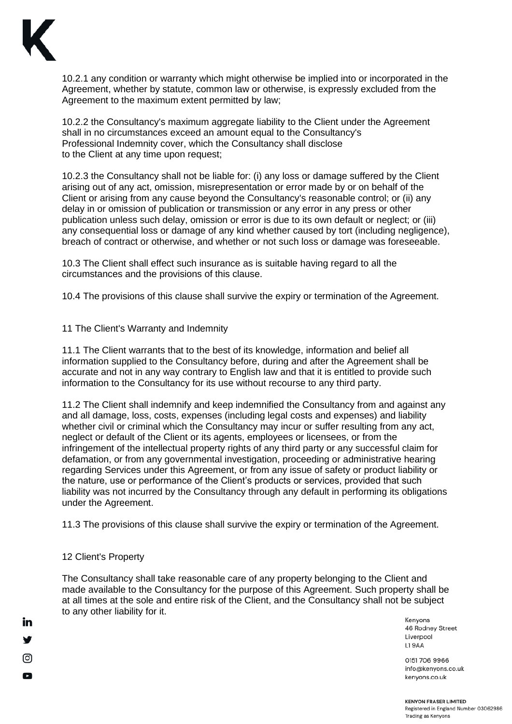

10.2.1 any condition or warranty which might otherwise be implied into or incorporated in the Agreement, whether by statute, common law or otherwise, is expressly excluded from the Agreement to the maximum extent permitted by law;

10.2.2 the Consultancy's maximum aggregate liability to the Client under the Agreement shall in no circumstances exceed an amount equal to the Consultancy's Professional Indemnity cover, which the Consultancy shall disclose to the Client at any time upon request;

10.2.3 the Consultancy shall not be liable for: (i) any loss or damage suffered by the Client arising out of any act, omission, misrepresentation or error made by or on behalf of the Client or arising from any cause beyond the Consultancy's reasonable control; or (ii) any delay in or omission of publication or transmission or any error in any press or other publication unless such delay, omission or error is due to its own default or neglect; or (iii) any consequential loss or damage of any kind whether caused by tort (including negligence), breach of contract or otherwise, and whether or not such loss or damage was foreseeable.

10.3 The Client shall effect such insurance as is suitable having regard to all the circumstances and the provisions of this clause.

10.4 The provisions of this clause shall survive the expiry or termination of the Agreement.

## 11 The Client's Warranty and Indemnity

11.1 The Client warrants that to the best of its knowledge, information and belief all information supplied to the Consultancy before, during and after the Agreement shall be accurate and not in any way contrary to English law and that it is entitled to provide such information to the Consultancy for its use without recourse to any third party.

11.2 The Client shall indemnify and keep indemnified the Consultancy from and against any and all damage, loss, costs, expenses (including legal costs and expenses) and liability whether civil or criminal which the Consultancy may incur or suffer resulting from any act, neglect or default of the Client or its agents, employees or licensees, or from the infringement of the intellectual property rights of any third party or any successful claim for defamation, or from any governmental investigation, proceeding or administrative hearing regarding Services under this Agreement, or from any issue of safety or product liability or the nature, use or performance of the Client's products or services, provided that such liability was not incurred by the Consultancy through any default in performing its obligations under the Agreement.

11.3 The provisions of this clause shall survive the expiry or termination of the Agreement.

## 12 Client's Property

**in** 

ල

Q

The Consultancy shall take reasonable care of any property belonging to the Client and made available to the Consultancy for the purpose of this Agreement. Such property shall be at all times at the sole and entire risk of the Client, and the Consultancy shall not be subject to any other liability for it.

Kenyons 46 Rodney Street Liverpool L19AA

0151 706 9966 info@kenyons.co.uk kenyons.co.uk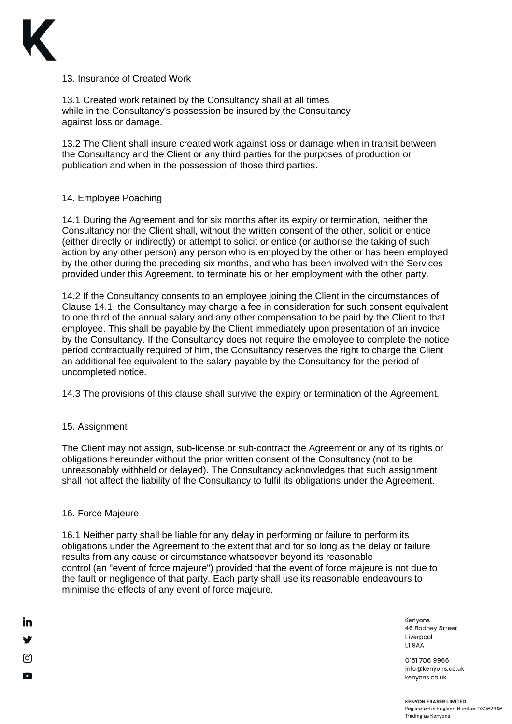

13. Insurance of Created Work

13.1 Created work retained by the Consultancy shall at all times while in the Consultancy's possession be insured by the Consultancy against loss or damage.

13.2 The Client shall insure created work against loss or damage when in transit between the Consultancy and the Client or any third parties for the purposes of production or publication and when in the possession of those third parties.

## 14. Employee Poaching

14.1 During the Agreement and for six months after its expiry or termination, neither the Consultancy nor the Client shall, without the written consent of the other, solicit or entice (either directly or indirectly) or attempt to solicit or entice (or authorise the taking of such action by any other person) any person who is employed by the other or has been employed by the other during the preceding six months, and who has been involved with the Services provided under this Agreement, to terminate his or her employment with the other party.

14.2 If the Consultancy consents to an employee joining the Client in the circumstances of Clause 14.1, the Consultancy may charge a fee in consideration for such consent equivalent to one third of the annual salary and any other compensation to be paid by the Client to that employee. This shall be payable by the Client immediately upon presentation of an invoice by the Consultancy. If the Consultancy does not require the employee to complete the notice period contractually required of him, the Consultancy reserves the right to charge the Client an additional fee equivalent to the salary payable by the Consultancy for the period of uncompleted notice.

14.3 The provisions of this clause shall survive the expiry or termination of the Agreement.

#### 15. Assignment

The Client may not assign, sub-license or sub-contract the Agreement or any of its rights or obligations hereunder without the prior written consent of the Consultancy (not to be unreasonably withheld or delayed). The Consultancy acknowledges that such assignment shall not affect the liability of the Consultancy to fulfil its obligations under the Agreement.

#### 16. Force Majeure

in

ල

Q

16.1 Neither party shall be liable for any delay in performing or failure to perform its obligations under the Agreement to the extent that and for so long as the delay or failure results from any cause or circumstance whatsoever beyond its reasonable control (an "event of force majeure") provided that the event of force majeure is not due to the fault or negligence of that party. Each party shall use its reasonable endeavours to minimise the effects of any event of force majeure.

> Kenvons 46 Rodney Street Liverpool **L19AA**

0151 706 9966 info@kenyons.co.uk kenyons.co.uk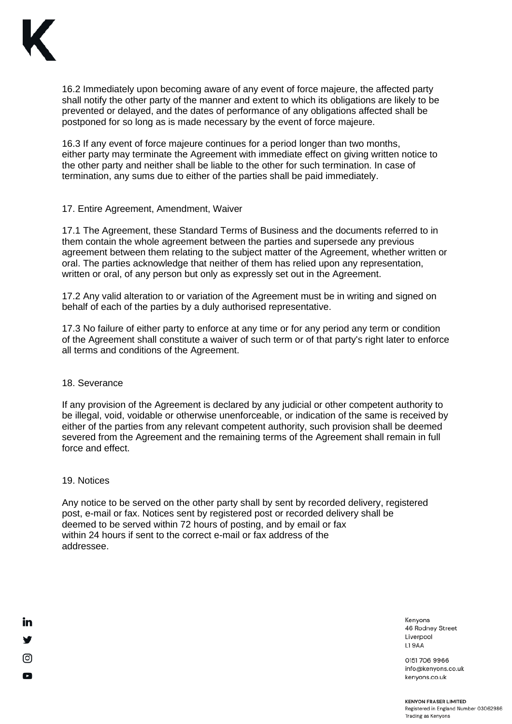

16.2 Immediately upon becoming aware of any event of force majeure, the affected party shall notify the other party of the manner and extent to which its obligations are likely to be prevented or delayed, and the dates of performance of any obligations affected shall be postponed for so long as is made necessary by the event of force majeure.

16.3 If any event of force majeure continues for a period longer than two months, either party may terminate the Agreement with immediate effect on giving written notice to the other party and neither shall be liable to the other for such termination. In case of termination, any sums due to either of the parties shall be paid immediately.

### 17. Entire Agreement, Amendment, Waiver

17.1 The Agreement, these Standard Terms of Business and the documents referred to in them contain the whole agreement between the parties and supersede any previous agreement between them relating to the subject matter of the Agreement, whether written or oral. The parties acknowledge that neither of them has relied upon any representation, written or oral, of any person but only as expressly set out in the Agreement.

17.2 Any valid alteration to or variation of the Agreement must be in writing and signed on behalf of each of the parties by a duly authorised representative.

17.3 No failure of either party to enforce at any time or for any period any term or condition of the Agreement shall constitute a waiver of such term or of that party's right later to enforce all terms and conditions of the Agreement.

### 18. Severance

If any provision of the Agreement is declared by any judicial or other competent authority to be illegal, void, voidable or otherwise unenforceable, or indication of the same is received by either of the parties from any relevant competent authority, such provision shall be deemed severed from the Agreement and the remaining terms of the Agreement shall remain in full force and effect.

#### 19. Notices

in

ල

Q

Any notice to be served on the other party shall by sent by recorded delivery, registered post, e-mail or fax. Notices sent by registered post or recorded delivery shall be deemed to be served within 72 hours of posting, and by email or fax within 24 hours if sent to the correct e-mail or fax address of the addressee.

> Kenvons 46 Rodney Street Liverpool L19AA

0151 706 9966 info@kenyons.co.uk kenyons.co.uk